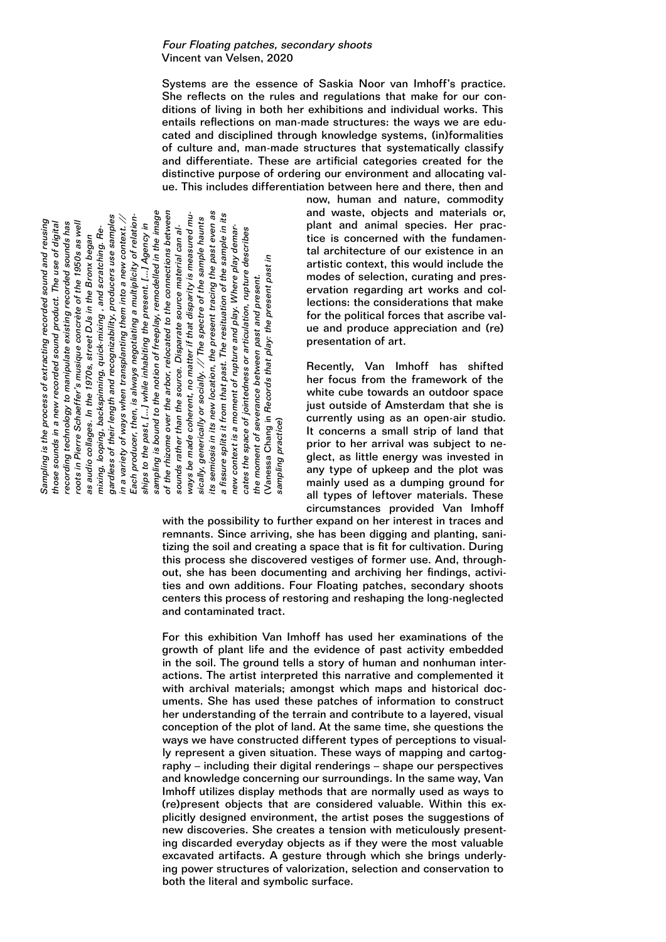Systems are the essence of Saskia Noor van Imhoff's practice. She reflects on the rules and regulations that make for our conditions of living in both her exhibitions and individual works. This entails reflections on man-made structures: the ways we are educated and disciplined through knowledge systems, (in)formalities of culture and, man-made structures that systematically classify and differentiate. These are artificial categories created for the distinctive purpose of ordering our environment and allocating value. This includes differentiation between here and there, then and

sampling is bound to the notion of freeplay, remodelled in the image of the rhizome over the arbor, relocated to the connections between its semiosis in its new location, the present tracing the past even as sampling is bound to the notion of freeplay, remodelled in the image of the rhizome over the arbor, relocated to the connections between its semiosis in its new location, the present tracing the past even as a fissure splits it from that past. The resituation of the sample in its gardless of their length and recognizability, producers use samples in a variety of ways when transplanting them into a new context.  $\mathord{/\!/}$ ways be made coherent, no matter if that disparity is measured mua fissure splits it from that past. The resituation of the sample in its Each producer, then, is always negotiating a multiplicity of relationgardless of their length and recognizability, producers use samples in a variety of ways when transplanting them into a new context. // Each producer, then, is always negotiating a multiplicity of relationways be made coherent, no matter if that disparity is measured mu sically, generically or socially. // The spectre of the sample haunts sically, generically or socially. // The spectre of the sample haunts Sampling is the process of extracting recorded sound and reusing roots in Pierre Schaeffer's musique concrète of the 1950s as well those sounds in a new recorded sound product. The use of digital recording technology to manipulate existing recorded sounds has recording technology to manipulate existing recorded sounds has roots in Pierre Schaeffer's musique concrète of the 1950s as well ships to the past, [...] while inhabiting the present. [...] Agency in Sampling is the process of extracting recorded sound and reusing hose sounds in a new recorded sound product. The use of digital ships to the past, [...] while inhabiting the present. [...] Agency in sounds rather than the source. Disparate source material can almixing, looping, backspinning, quick-mixing, and scratching. Remixing, looping, backspinning, quick-mixing , and scratching. Resounds rather than the source. Disparate source material can alnew context is a moment of rupture and play. Where play demarnew context is a moment of rupture and play. Where play demarcates the space of jointedness or articulation, rupture describes cates the space of jointedness or articulation, rupture describes as audio collages. In the 1970s, street DJs in the Bronx began as audio collages. In the 1970s, street DJs in the Bronx began Vanessa Chang in Records that play: the present past in (Vanessa Chang in Records that play: the present past in the moment of severance between past and present. the moment of severance between past and present. sampling practice) sampling practice) now, human and nature, commodity and waste, objects and materials or, plant and animal species. Her practice is concerned with the fundamental architecture of our existence in an artistic context, this would include the modes of selection, curating and preservation regarding art works and collections: the considerations that make for the political forces that ascribe value and produce appreciation and (re) presentation of art.

Recently, Van Imhoff has shifted her focus from the framework of the white cube towards an outdoor space just outside of Amsterdam that she is currently using as an open-air studio. It concerns a small strip of land that prior to her arrival was subject to neglect, as little energy was invested in any type of upkeep and the plot was mainly used as a dumping ground for all types of leftover materials. These circumstances provided Van Imhoff

with the possibility to further expand on her interest in traces and remnants. Since arriving, she has been digging and planting, sanitizing the soil and creating a space that is fit for cultivation. During this process she discovered vestiges of former use. And, throughout, she has been documenting and archiving her findings, activities and own additions. Four Floating patches, secondary shoots centers this process of restoring and reshaping the long-neglected and contaminated tract.

For this exhibition Van Imhoff has used her examinations of the growth of plant life and the evidence of past activity embedded in the soil. The ground tells a story of human and nonhuman interactions. The artist interpreted this narrative and complemented it with archival materials; amongst which maps and historical documents. She has used these patches of information to construct her understanding of the terrain and contribute to a layered, visual conception of the plot of land. At the same time, she questions the ways we have constructed different types of perceptions to visually represent a given situation. These ways of mapping and cartography – including their digital renderings – shape our perspectives and knowledge concerning our surroundings. In the same way, Van Imhoff utilizes display methods that are normally used as ways to (re)present objects that are considered valuable. Within this explicitly designed environment, the artist poses the suggestions of new discoveries. She creates a tension with meticulously presenting discarded everyday objects as if they were the most valuable excavated artifacts. A gesture through which she brings underlying power structures of valorization, selection and conservation to both the literal and symbolic surface.